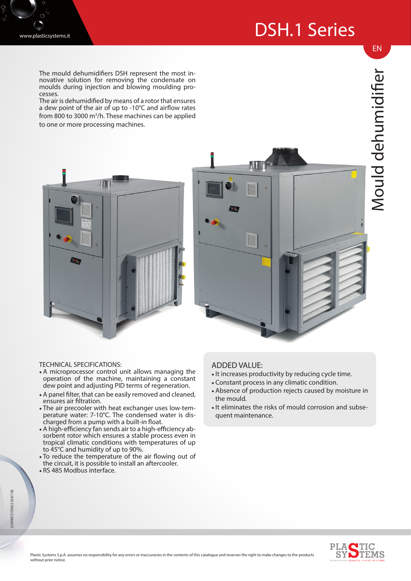## DSH.1 Series



The mould dehumidifiers DSH represent the most innovative solution for removing the condensate on moulds during injection and blowing moulding processes.

The air is dehumidified by means of a rotor that ensures a dew point of the air of up to -10°C and airflow rates from 800 to 3000 m<sup>3</sup>/h. These machines can be applied to one or more processing machines.



EN



## TECHNICAL SPECIFICATIONS:

- A microprocessor control unit allows managing the operation of the machine, maintaining a constant dew point and adjusting PID terms of regeneration.
- A panel filter, that can be easily removed and cleaned, ensures air filtration.
- The air precooler with heat exchanger uses low-temperature water: 7-10°C. The condensed water is discharged from a pump with a built-in float.
- A high-efficiency fan sends air to a high-efficiency absorbent rotor which ensures a stable process even in tropical climatic conditions with temperatures of up to 45°C and humidity of up to 90%.
- To reduce the temperature of the air flowing out of the circuit, it is possible to install an aftercooler.
- RS 485 Modbus interface.

## ADDED VALUE:

- •It increases productivity by reducing cycle time.
- Constant process in any climatic condition.
- Absence of production rejects caused by moisture in the mould.
- •It eliminates the risks of mould corrosion and subsequent maintenance.